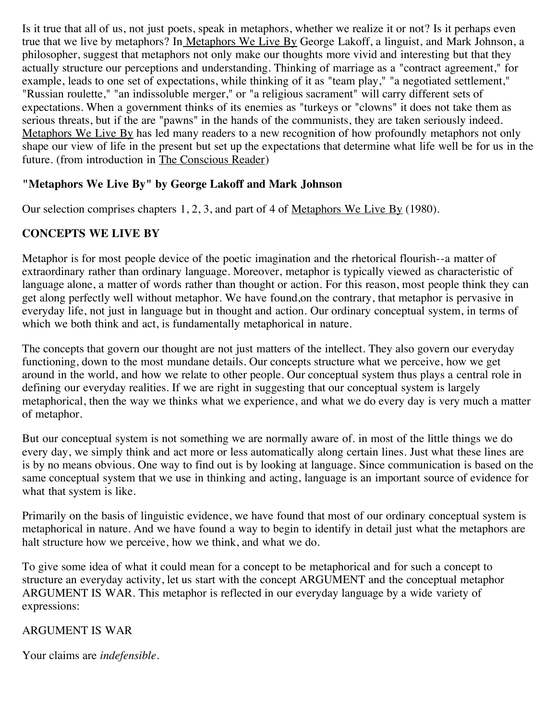Is it true that all of us, not just poets, speak in metaphors, whether we realize it or not? Is it perhaps even true that we live by metaphors? In Metaphors We Live By George Lakoff, a linguist, and Mark Johnson, a philosopher, suggest that metaphors not only make our thoughts more vivid and interesting but that they actually structure our perceptions and understanding. Thinking of marriage as a "contract agreement," for example, leads to one set of expectations, while thinking of it as "team play," "a negotiated settlement," "Russian roulette," "an indissoluble merger," or "a religious sacrament" will carry different sets of expectations. When a government thinks of its enemies as "turkeys or "clowns" it does not take them as serious threats, but if the are "pawns" in the hands of the communists, they are taken seriously indeed. Metaphors We Live By has led many readers to a new recognition of how profoundly metaphors not only shape our view of life in the present but set up the expectations that determine what life well be for us in the future. (from introduction in The Conscious Reader)

# **"Metaphors We Live By" by George Lakoff and Mark Johnson**

Our selection comprises chapters  $1, 2, 3$ , and part of 4 of <u>Metaphors We Live By</u> (1980).

# **CONCEPTS WE LIVE BY**

Metaphor is for most people device of the poetic imagination and the rhetorical flourish--a matter of extraordinary rather than ordinary language. Moreover, metaphor is typically viewed as characteristic of language alone, a matter of words rather than thought or action. For this reason, most people think they can get along perfectly well without metaphor. We have found,on the contrary, that metaphor is pervasive in everyday life, not just in language but in thought and action. Our ordinary conceptual system, in terms of which we both think and act, is fundamentally metaphorical in nature.

The concepts that govern our thought are not just matters of the intellect. They also govern our everyday functioning, down to the most mundane details. Our concepts structure what we perceive, how we get around in the world, and how we relate to other people. Our conceptual system thus plays a central role in defining our everyday realities. If we are right in suggesting that our conceptual system is largely metaphorical, then the way we thinks what we experience, and what we do every day is very much a matter of metaphor.

But our conceptual system is not something we are normally aware of. in most of the little things we do every day, we simply think and act more or less automatically along certain lines. Just what these lines are is by no means obvious. One way to find out is by looking at language. Since communication is based on the same conceptual system that we use in thinking and acting, language is an important source of evidence for what that system is like.

Primarily on the basis of linguistic evidence, we have found that most of our ordinary conceptual system is metaphorical in nature. And we have found a way to begin to identify in detail just what the metaphors are halt structure how we perceive, how we think, and what we do.

To give some idea of what it could mean for a concept to be metaphorical and for such a concept to structure an everyday activity, let us start with the concept ARGUMENT and the conceptual metaphor ARGUMENT IS WAR. This metaphor is reflected in our everyday language by a wide variety of expressions:

#### ARGUMENT IS WAR

Your claims are *indefensible.*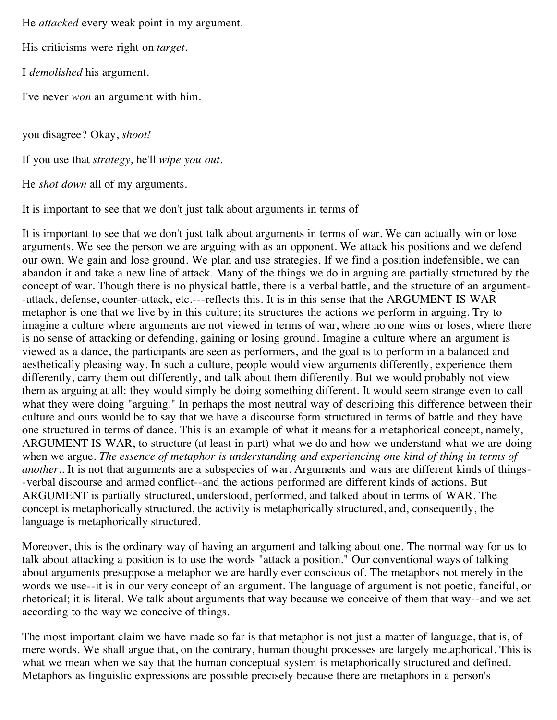He *attacked* every weak point in my argument.

His criticisms were right on *target.*

I *demolished* his argument.

I've never *won* an argument with him.

you disagree? Okay, *shoot!*

If you use that *strategy,* he'll *wipe you out.*

He *shot down* all of my arguments.

It is important to see that we don't just talk about arguments in terms of

It is important to see that we don't just talk about arguments in terms of war. We can actually win or lose arguments. We see the person we are arguing with as an opponent. We attack his positions and we defend our own. We gain and lose ground. We plan and use strategies. If we find a position indefensible, we can abandon it and take a new line of attack. Many of the things we do in arguing are partially structured by the concept of war. Though there is no physical battle, there is a verbal battle, and the structure of an argument- -attack, defense, counter-attack, etc.---reflects this. It is in this sense that the ARGUMENT IS WAR metaphor is one that we live by in this culture; its structures the actions we perform in arguing. Try to imagine a culture where arguments are not viewed in terms of war, where no one wins or loses, where there is no sense of attacking or defending, gaining or losing ground. Imagine a culture where an argument is viewed as a dance, the participants are seen as performers, and the goal is to perform in a balanced and aesthetically pleasing way. In such a culture, people would view arguments differently, experience them differently, carry them out differently, and talk about them differently. But we would probably not view them as arguing at all: they would simply be doing something different. It would seem strange even to call what they were doing "arguing." In perhaps the most neutral way of describing this difference between their culture and ours would be to say that we have a discourse form structured in terms of battle and they have one structured in terms of dance. This is an example of what it means for a metaphorical concept, namely, ARGUMENT IS WAR, to structure (at least in part) what we do and how we understand what we are doing when we argue. *The essence of metaphor is understanding and experiencing one kind of thing in terms of another.*. It is not that arguments are a subspecies of war. Arguments and wars are different kinds of things- -verbal discourse and armed conflict--and the actions performed are different kinds of actions. But ARGUMENT is partially structured, understood, performed, and talked about in terms of WAR. The concept is metaphorically structured, the activity is metaphorically structured, and, consequently, the language is metaphorically structured.

Moreover, this is the ordinary way of having an argument and talking about one. The normal way for us to talk about attacking a position is to use the words "attack a position." Our conventional ways of talking about arguments presuppose a metaphor we are hardly ever conscious of. The metaphors not merely in the words we use--it is in our very concept of an argument. The language of argument is not poetic, fanciful, or rhetorical; it is literal. We talk about arguments that way because we conceive of them that way--and we act according to the way we conceive of things.

The most important claim we have made so far is that metaphor is not just a matter of language, that is, of mere words. We shall argue that, on the contrary, human thought processes are largely metaphorical. This is what we mean when we say that the human conceptual system is metaphorically structured and defined. Metaphors as linguistic expressions are possible precisely because there are metaphors in a person's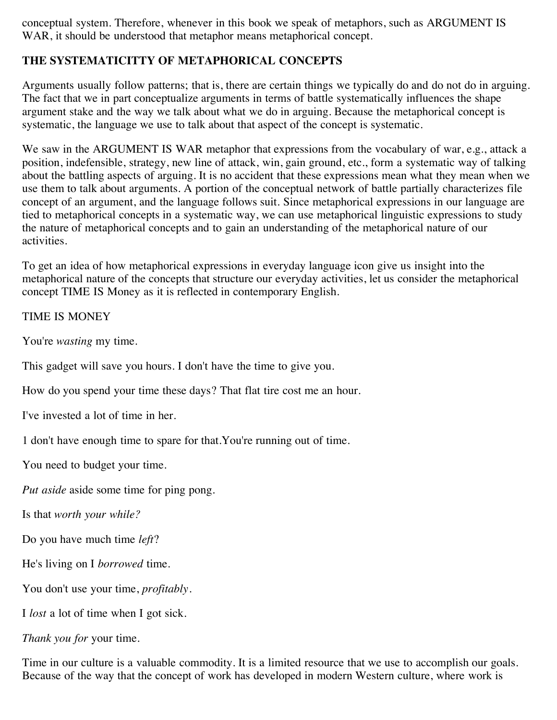conceptual system. Therefore, whenever in this book we speak of metaphors, such as ARGUMENT IS WAR, it should be understood that metaphor means metaphorical concept.

# **THE SYSTEMATICITTY OF METAPHORICAL CONCEPTS**

Arguments usually follow patterns; that is, there are certain things we typically do and do not do in arguing. The fact that we in part conceptualize arguments in terms of battle systematically influences the shape argument stake and the way we talk about what we do in arguing. Because the metaphorical concept is systematic, the language we use to talk about that aspect of the concept is systematic.

We saw in the ARGUMENT IS WAR metaphor that expressions from the vocabulary of war, e.g., attack a position, indefensible, strategy, new line of attack, win, gain ground, etc., form a systematic way of talking about the battling aspects of arguing. It is no accident that these expressions mean what they mean when we use them to talk about arguments. A portion of the conceptual network of battle partially characterizes file concept of an argument, and the language follows suit. Since metaphorical expressions in our language are tied to metaphorical concepts in a systematic way, we can use metaphorical linguistic expressions to study the nature of metaphorical concepts and to gain an understanding of the metaphorical nature of our activities.

To get an idea of how metaphorical expressions in everyday language icon give us insight into the metaphorical nature of the concepts that structure our everyday activities, let us consider the metaphorical concept TIME IS Money as it is reflected in contemporary English.

#### TIME IS MONEY

You're *wasting* my time.

This gadget will save you hours. I don't have the time to give you.

How do you spend your time these days? That flat tire cost me an hour.

I've invested a lot of time in her.

1 don't have enough time to spare for that.You're running out of time.

You need to budget your time.

*Put aside* aside some time for ping pong.

Is that *worth your while?*

Do you have much time *left*?

He's living on I *borrowed* time.

You don't use your time, *profitably*.

I *lost* a lot of time when I got sick.

#### *Thank you for* your time.

Time in our culture is a valuable commodity. It is a limited resource that we use to accomplish our goals. Because of the way that the concept of work has developed in modern Western culture, where work is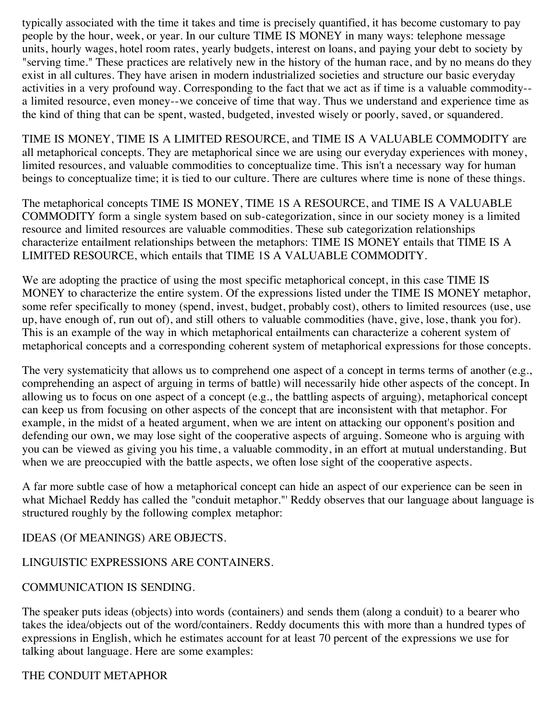typically associated with the time it takes and time is precisely quantified, it has become customary to pay people by the hour, week, or year. In our culture TIME IS MONEY in many ways: telephone message units, hourly wages, hotel room rates, yearly budgets, interest on loans, and paying your debt to society by "serving time." These practices are relatively new in the history of the human race, and by no means do they exist in all cultures. They have arisen in modern industrialized societies and structure our basic everyday activities in a very profound way. Corresponding to the fact that we act as if time is a valuable commodity- a limited resource, even money--we conceive of time that way. Thus we understand and experience time as the kind of thing that can be spent, wasted, budgeted, invested wisely or poorly, saved, or squandered.

TIME IS MONEY, TIME IS A LIMITED RESOURCE, and TIME IS A VALUABLE COMMODITY are all metaphorical concepts. They are metaphorical since we are using our everyday experiences with money, limited resources, and valuable commodities to conceptualize time. This isn't a necessary way for human beings to conceptualize time; it is tied to our culture. There are cultures where time is none of these things.

The metaphorical concepts TIME IS MONEY, TIME 1S A RESOURCE, and TIME IS A VALUABLE COMMODITY form a single system based on sub-categorization, since in our society money is a limited resource and limited resources are valuable commodities. These sub categorization relationships characterize entailment relationships between the metaphors: TIME IS MONEY entails that TIME IS A LIMITED RESOURCE, which entails that TIME 1S A VALUABLE COMMODITY.

We are adopting the practice of using the most specific metaphorical concept, in this case TIME IS MONEY to characterize the entire system. Of the expressions listed under the TIME IS MONEY metaphor, some refer specifically to money (spend, invest, budget, probably cost), others to limited resources (use, use up, have enough of, run out of), and still others to valuable commodities (have, give, lose, thank you for). This is an example of the way in which metaphorical entailments can characterize a coherent system of metaphorical concepts and a corresponding coherent system of metaphorical expressions for those concepts.

The very systematicity that allows us to comprehend one aspect of a concept in terms terms of another (e.g., comprehending an aspect of arguing in terms of battle) will necessarily hide other aspects of the concept. In allowing us to focus on one aspect of a concept (e.g., the battling aspects of arguing), metaphorical concept can keep us from focusing on other aspects of the concept that are inconsistent with that metaphor. For example, in the midst of a heated argument, when we are intent on attacking our opponent's position and defending our own, we may lose sight of the cooperative aspects of arguing. Someone who is arguing with you can be viewed as giving you his time, a valuable commodity, in an effort at mutual understanding. But when we are preoccupied with the battle aspects, we often lose sight of the cooperative aspects.

A far more subtle case of how a metaphorical concept can hide an aspect of our experience can be seen in what Michael Reddy has called the "conduit metaphor."' Reddy observes that our language about language is structured roughly by the following complex metaphor:

IDEAS (Of MEANINGS) ARE OBJECTS.

# LINGUISTIC EXPRESSIONS ARE CONTAINERS.

# COMMUNICATION IS SENDING.

The speaker puts ideas (objects) into words (containers) and sends them (along a conduit) to a bearer who takes the idea/objects out of the word/containers. Reddy documents this with more than a hundred types of expressions in English, which he estimates account for at least 70 percent of the expressions we use for talking about language. Here are some examples:

#### THE CONDUIT METAPHOR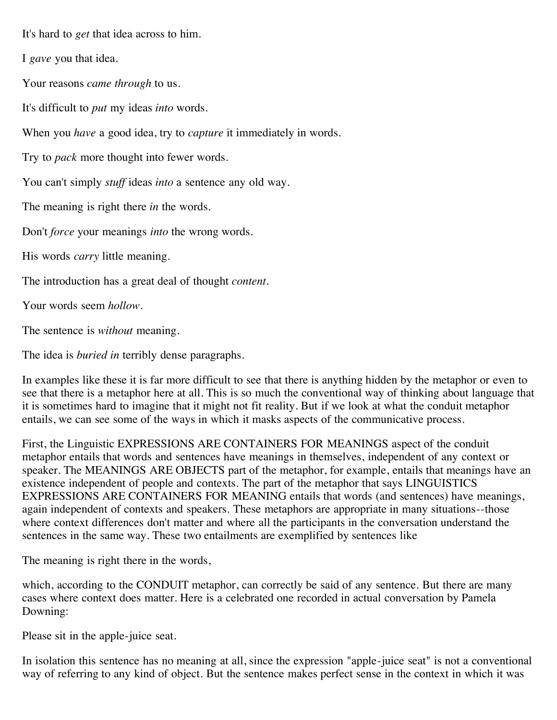It's hard to *get* that idea across to him.

I *gave* you that idea.

Your reasons *came through* to us.

It's difficult to *put* my ideas *into* words.

When you *have* a good idea, try to *capture* it immediately in words.

Try to *pack* more thought into fewer words.

You can't simply *stuff* ideas *into* a sentence any old way.

The meaning is right there *in* the words.

Don't *force* your meanings *into* the wrong words.

His words *carry* little meaning.

The introduction has a great deal of thought *content.*

Your words seem *hollow.*

The sentence is *without* meaning.

The idea is *buried in* terribly dense paragraphs.

In examples like these it is far more difficult to see that there is anything hidden by the metaphor or even to see that there is a metaphor here at all. This is so much the conventional way of thinking about language that it is sometimes hard to imagine that it might not fit reality. But if we look at what the conduit metaphor entails, we can see some of the ways in which it masks aspects of the communicative process.

First, the Linguistic EXPRESSIONS ARE CONTAINERS FOR MEANINGS aspect of the conduit metaphor entails that words and sentences have meanings in themselves, independent of any context or speaker. The MEANINGS ARE OBJECTS part of the metaphor, for example, entails that meanings have an existence independent of people and contexts. The part of the metaphor that says LINGUISTICS EXPRESSIONS ARE CONTAINERS FOR MEANING entails that words (and sentences) have meanings, again independent of contexts and speakers. These metaphors are appropriate in many situations--those where context differences don't matter and where all the participants in the conversation understand the sentences in the same way. These two entailments are exemplified by sentences like

The meaning is right there in the words,

which, according to the CONDUIT metaphor, can correctly be said of any sentence. But there are many cases where context does matter. Here is a celebrated one recorded in actual conversation by Pamela Downing:

Please sit in the apple-juice seat.

In isolation this sentence has no meaning at all, since the expression "apple-juice seat" is not a conventional way of referring to any kind of object. But the sentence makes perfect sense in the context in which it was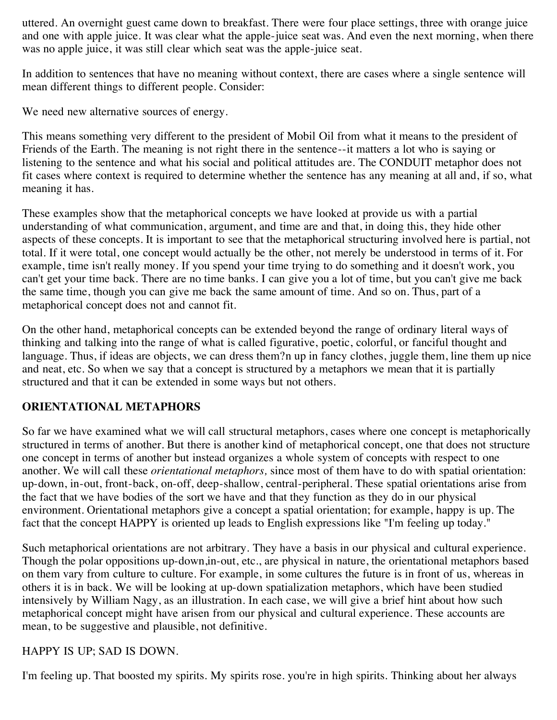uttered. An overnight guest came down to breakfast. There were four place settings, three with orange juice and one with apple juice. It was clear what the apple-juice seat was. And even the next morning, when there was no apple juice, it was still clear which seat was the apple-juice seat.

In addition to sentences that have no meaning without context, there are cases where a single sentence will mean different things to different people. Consider:

We need new alternative sources of energy.

This means something very different to the president of Mobil Oil from what it means to the president of Friends of the Earth. The meaning is not right there in the sentence--it matters a lot who is saying or listening to the sentence and what his social and political attitudes are. The CONDUIT metaphor does not fit cases where context is required to determine whether the sentence has any meaning at all and, if so, what meaning it has.

These examples show that the metaphorical concepts we have looked at provide us with a partial understanding of what communication, argument, and time are and that, in doing this, they hide other aspects of these concepts. It is important to see that the metaphorical structuring involved here is partial, not total. If it were total, one concept would actually be the other, not merely be understood in terms of it. For example, time isn't really money. If you spend your time trying to do something and it doesn't work, you can't get your time back. There are no time banks. I can give you a lot of time, but you can't give me back the same time, though you can give me back the same amount of time. And so on. Thus, part of a metaphorical concept does not and cannot fit.

On the other hand, metaphorical concepts can be extended beyond the range of ordinary literal ways of thinking and talking into the range of what is called figurative, poetic, colorful, or fanciful thought and language. Thus, if ideas are objects, we can dress them?n up in fancy clothes, juggle them, line them up nice and neat, etc. So when we say that a concept is structured by a metaphors we mean that it is partially structured and that it can be extended in some ways but not others.

# **ORIENTATIONAL METAPHORS**

So far we have examined what we will call structural metaphors, cases where one concept is metaphorically structured in terms of another. But there is another kind of metaphorical concept, one that does not structure one concept in terms of another but instead organizes a whole system of concepts with respect to one another. We will call these *orientational metaphors,* since most of them have to do with spatial orientation: up-down, in-out, front-back, on-off, deep-shallow, central-peripheral. These spatial orientations arise from the fact that we have bodies of the sort we have and that they function as they do in our physical environment. Orientational metaphors give a concept a spatial orientation; for example, happy is up. The fact that the concept HAPPY is oriented up leads to English expressions like "I'm feeling up today."

Such metaphorical orientations are not arbitrary. They have a basis in our physical and cultural experience. Though the polar oppositions up-down,in-out, etc., are physical in nature, the orientational metaphors based on them vary from culture to culture. For example, in some cultures the future is in front of us, whereas in others it is in back. We will be looking at up-down spatialization metaphors, which have been studied intensively by William Nagy, as an illustration. In each case, we will give a brief hint about how such metaphorical concept might have arisen from our physical and cultural experience. These accounts are mean, to be suggestive and plausible, not definitive.

# HAPPY IS UP; SAD IS DOWN.

I'm feeling up. That boosted my spirits. My spirits rose. you're in high spirits. Thinking about her always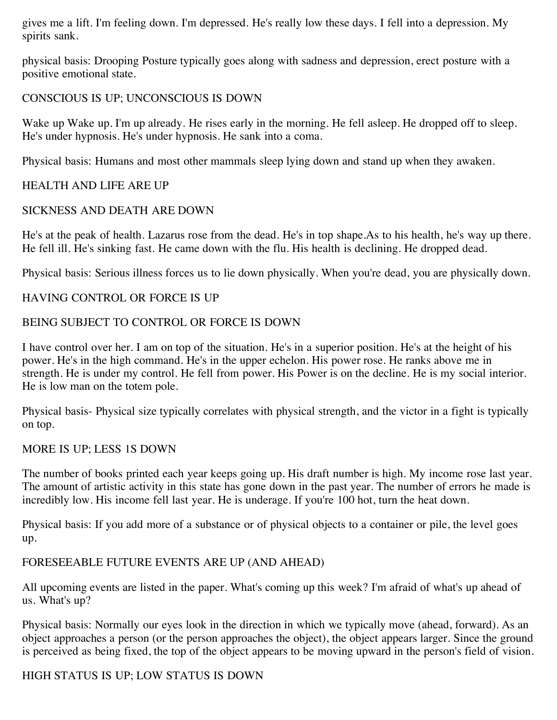gives me a lift. I'm feeling down. I'm depressed. He's really low these days. I fell into a depression. My spirits sank.

physical basis: Drooping Posture typically goes along with sadness and depression, erect posture with a positive emotional state.

# CONSCIOUS IS UP; UNCONSCIOUS IS DOWN

Wake up Wake up. I'm up already. He rises early in the morning. He fell asleep. He dropped off to sleep. He's under hypnosis. He's under hypnosis. He sank into a coma.

Physical basis: Humans and most other mammals sleep lying down and stand up when they awaken.

# HEALTH AND LIFE ARE UP

#### SICKNESS AND DEATH ARE DOWN

He's at the peak of health. Lazarus rose from the dead. He's in top shape.As to his health, he's way up there. He fell ill. He's sinking fast. He came down with the flu. His health is declining. He dropped dead.

Physical basis: Serious illness forces us to lie down physically. When you're dead, you are physically down.

#### HAVING CONTROL OR FORCE IS UP

#### BEING SUBJECT TO CONTROL OR FORCE IS DOWN

I have control over her. I am on top of the situation. He's in a superior position. He's at the height of his power. He's in the high command. He's in the upper echelon. His power rose. He ranks above me in strength. He is under my control. He fell from power. His Power is on the decline. He is my social interior. He is low man on the totem pole.

Physical basis- Physical size typically correlates with physical strength, and the victor in a fight is typically on top.

#### MORE IS UP; LESS 1S DOWN

The number of books printed each year keeps going up. His draft number is high. My income rose last year. The amount of artistic activity in this state has gone down in the past year. The number of errors he made is incredibly low. His income fell last year. He is underage. If you're 100 hot, turn the heat down.

Physical basis: If you add more of a substance or of physical objects to a container or pile, the level goes up.

# FORESEEABLE FUTURE EVENTS ARE UP (AND AHEAD)

All upcoming events are listed in the paper. What's coming up this week? I'm afraid of what's up ahead of us. What's up?

Physical basis: Normally our eyes look in the direction in which we typically move (ahead, forward). As an object approaches a person (or the person approaches the object), the object appears larger. Since the ground is perceived as being fixed, the top of the object appears to be moving upward in the person's field of vision.

# HIGH STATUS IS UP; LOW STATUS IS DOWN